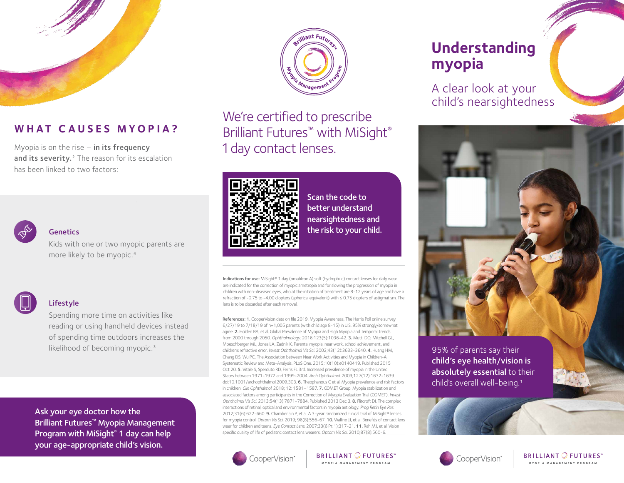

# **WHAT CAUSES MYOPIA?**

Myopia is on the rise  $-$  in its frequency and its severity.<sup>2</sup> The reason for its escalation has been linked to two factors:



#### **Genetics**

Kids with one or two myopic parents are more likely to be myopic.4



### Lifestyle

Spending more time on activities like reading or using handheld devices instead of spending time outdoors increases the likelihood of becoming myopic.<sup>3</sup>

Ask your eye doctor how the Brilliant Futures™ Myopia Management Program with MiSight<sup>®</sup> 1 day can help your age-appropriate child's vision.



We're certified to prescribe Brilliant Futures<sup>™</sup> with MiSight<sup>®</sup> 1 day contact lenses.



Scan the code to better understand nearsightedness and the risk to your child.

Indications for use: MiSight® 1 day (omafilcon A) soft (hydrophilic) contact lenses for daily wear are indicated for the correction of myopic ametropia and for slowing the progression of myopia in children with non-diseased eyes, who at the initiation of treatment are 8-12 years of age and have a refraction of -0.75 to -4.00 diopters (spherical equivalent) with ≤ 0.75 diopters of astigmatism. The lens is to be discarded after each removal.

References: 1. CooperVision data on file 2019. Myopia Awareness, The Harris Poll online survey 6/27/19 to 7/18/19 of n=1,005 parents (with child age 8-15) in U.S. 95% strongly/somewhat agree. 2. Holden BA, et al. Global Prevalence of Myopia and High Myopia and Temporal Trends from 2000 through 2050. *Ophthalmology*. 2016;123(5):1036-42. 3. Mutti DO, Mitchell GL, Moeschberger ML, Jones LA, Zadnik K. Parental myopia, near work, school achievement, and children's refractive error. *Invest Ophthalmol Vis Sci.* 2002;43(12):3633-3640. 4. Huang HM, Chang DS, Wu PC. The Association between Near Work Activities and Myopia in Children-A Systematic Review and Meta-Analysis. PLoS One. 2015;10(10):e0140419. Published 2015 Oct 20. 5. Vitale S, Sperduto RD, Ferris FL 3rd. Increased prevalence of myopia in the United States between 1971-1972 and 1999-2004. *Arch Ophthalmol.* 2009;127(12):1632-1639. doi:10.1001/archophthalmol.2009.303. 6. Theophanous C et al. Myopia prevalence and risk factors in children. *Clin Ophthalmol.* 2018; 12: 1581–1587. 7. COMET Group. Myopia stabilization and associated factors among participants in the Correction of Myopia Evaluation Trial (COMET). *Invest Ophthalmol Vis Sci.* 2013;54(13):7871-7884. Published 2013 Dec 3. 8. Flitcroft DI. The complex interactions of retinal, optical and environmental factors in myopia aetiology. *Prog Retin Eye Res.*  2012;31(6):622-660. 9. Chamberlain P, et al. A 3-year randomized clinical trial of MiSight® lenses for myopia control. *Optom Vis Sci.* 2019; 96(8):556-67. 10. Walline JJ, et al. Benefits of contact lens wear for children and teens. *Eye Contact Lens.* 2007;33(6 Pt 1):317-21. 11. Rah MJ, et al. Vision specific quality of life of pediatric contact lens wearers. *Optom Vis Sci.* 2010;87(8):560-6.



**BRILLIANT OF UTURES** MYOPIA MANAGEMENT PROGRAM

# **Understanding myopia**

A clear look at your child's nearsightedness



95% of parents say their child's eye health/vision is absolutely essential to their child's overall well-being.1



**BRILLIANT OFUTURES**" MYOPIA MANAGEMENT PROGRAM